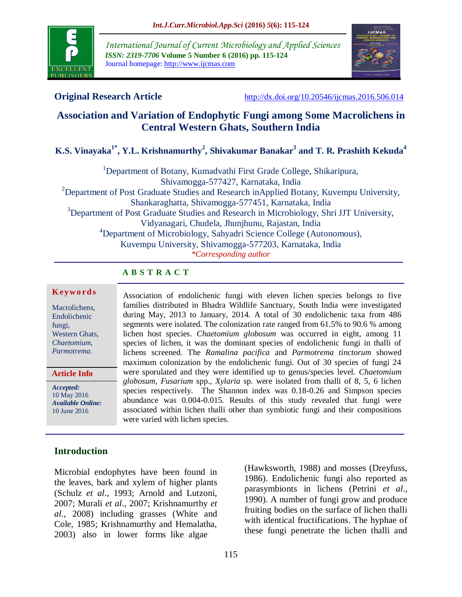

*International Journal of Current Microbiology and Applied Sciences ISSN: 2319-7706* **Volume 5 Number 6 (2016) pp. 115-124** Journal homepage: http://www.ijcmas.com



**Original Research Article** <http://dx.doi.org/10.20546/ijcmas.2016.506.014>

# **Association and Variation of Endophytic Fungi among Some Macrolichens in Central Western Ghats, Southern India**

**K.S. Vinayaka1\*, Y.L. Krishnamurthy<sup>2</sup> , Shivakumar Banakar<sup>3</sup> and T. R. Prashith Kekuda<sup>4</sup>**

<sup>1</sup>Department of Botany, Kumadvathi First Grade College, Shikaripura, Shivamogga-577427, Karnataka, India <sup>2</sup>Department of Post Graduate Studies and Research inApplied Botany, Kuvempu University, Shankaraghatta, Shivamogga-577451, Karnataka, India <sup>3</sup>Department of Post Graduate Studies and Research in Microbiology, Shri JJT University, Vidyanagari, Chudela, Jhunjhunu, Rajastan, India <sup>4</sup>Department of Microbiology, Sahyadri Science College (Autonomous), Kuvempu University, Shivamogga-577203, Karnataka, India *\*Corresponding author*

## **A B S T R A C T**

#### **K ey w o rd s**

Macrolichens, Endolichenic fungi, Western Ghats, *Chaetomium*, *Parmotrema*.

**Article Info**

*Accepted:*  10 May 2016 *Available Online:* 10 June 2016

Association of endolichenic fungi with eleven lichen species belongs to five families distributed in Bhadra Wildlife Sanctuary, South India were investigated during May, 2013 to January, 2014. A total of 30 endolichenic taxa from 486 segments were isolated. The colonization rate ranged from 61.5% to 90.6 % among lichen host species. *Chaetomium globosum* was occurred in eight, among 11 species of lichen, it was the dominant species of endolichenic fungi in thalli of lichens screened. The *Ramalina pacifica* and *Parmotrema tinctorum* showed maximum colonization by the endolichenic fungi. Out of 30 species of fungi 24 were sporulated and they were identified up to genus/species level. *Chaetomium globosum, Fusarium* spp.*, Xylaria* sp. were isolated from thalli of 8, 5, 6 lichen species respectively. The Shannon index was 0.18-0.26 and Simpson species abundance was 0.004-0.015. Results of this study revealed that fungi were associated within lichen thalli other than symbiotic fungi and their compositions were varied with lichen species.

# **Introduction**

Microbial endophytes have been found in the leaves, bark and xylem of higher plants (Schulz *et al*., 1993; Arnold and Lutzoni, 2007; Murali *et al*., 2007; Krishnamurthy *et al*., 2008) including grasses (White and Cole, 1985; Krishnamurthy and Hemalatha, 2003) also in lower forms like algae

(Hawksworth, 1988) and mosses (Dreyfuss, 1986). Endolichenic fungi also reported as parasymbionts in lichens (Petrini *et al*., 1990). A number of fungi grow and produce fruiting bodies on the surface of lichen thalli with identical fructifications. The hyphae of these fungi penetrate the lichen thalli and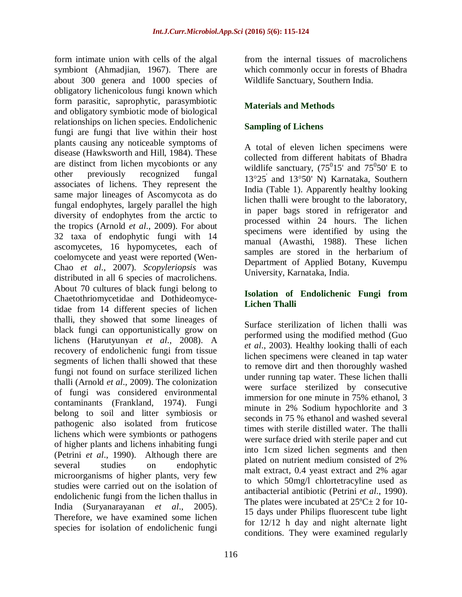form intimate union with cells of the algal symbiont (Ahmadjian, 1967). There are about 300 genera and 1000 species of obligatory lichenicolous fungi known which form parasitic, saprophytic, parasymbiotic and obligatory symbiotic mode of biological relationships on lichen species. Endolichenic fungi are fungi that live within their host plants causing any noticeable symptoms of disease (Hawksworth and Hill, 1984). These are distinct from lichen mycobionts or any other previously recognized fungal associates of lichens. They represent the same major lineages of Ascomycota as do fungal endophytes, largely parallel the high diversity of endophytes from the arctic to the tropics (Arnold *et al*., 2009). For about 32 taxa of endophytic fungi with 14 ascomycetes, 16 hypomycetes, each of coelomycete and yeast were reported (Wen-Chao *et al*., 2007). *Scopyleriopsis* was distributed in all 6 species of macrolichens. About 70 cultures of black fungi belong to Chaetothriomycetidae and Dothideomycetidae from 14 different species of lichen thalli, they showed that some lineages of black fungi can opportunistically grow on lichens (Harutyunyan *et al*., 2008). A recovery of endolichenic fungi from tissue segments of lichen thalli showed that these fungi not found on surface sterilized lichen thalli (Arnold *et al*., 2009). The colonization of fungi was considered environmental contaminants (Frankland, 1974). Fungi belong to soil and litter symbiosis or pathogenic also isolated from fruticose lichens which were symbionts or pathogens of higher plants and lichens inhabiting fungi (Petrini *et al*., 1990). Although there are several studies on endophytic microorganisms of higher plants, very few studies were carried out on the isolation of endolichenic fungi from the lichen thallus in India (Suryanarayanan *et al*., 2005). Therefore, we have examined some lichen species for isolation of endolichenic fungi

from the internal tissues of macrolichens which commonly occur in forests of Bhadra Wildlife Sanctuary, Southern India.

# **Materials and Methods**

## **Sampling of Lichens**

A total of eleven lichen specimens were collected from different habitats of Bhadra wildlife sanctuary,  $(75^015'$  and  $75^050'$  E to 13°25<sup>'</sup> and 13°50' N) Karnataka, Southern India (Table 1). Apparently healthy looking lichen thalli were brought to the laboratory, in paper bags stored in refrigerator and processed within 24 hours. The lichen specimens were identified by using the manual (Awasthi, 1988). These lichen samples are stored in the herbarium of Department of Applied Botany, Kuvempu University, Karnataka, India.

## **Isolation of Endolichenic Fungi from Lichen Thalli**

Surface sterilization of lichen thalli was performed using the modified method (Guo *et al*., 2003). Healthy looking thalli of each lichen specimens were cleaned in tap water to remove dirt and then thoroughly washed under running tap water. These lichen thalli were surface sterilized by consecutive immersion for one minute in 75% ethanol, 3 minute in 2% Sodium hypochlorite and 3 seconds in 75 % ethanol and washed several times with sterile distilled water. The thalli were surface dried with sterile paper and cut into 1cm sized lichen segments and then plated on nutrient medium consisted of 2% malt extract, 0.4 yeast extract and 2% agar to which 50mg/l chlortetracyline used as antibacterial antibiotic (Petrini *et al*., 1990). The plates were incubated at  $25^{\circ}$ C $\pm$  2 for 10-15 days under Philips fluorescent tube light for 12/12 h day and night alternate light conditions. They were examined regularly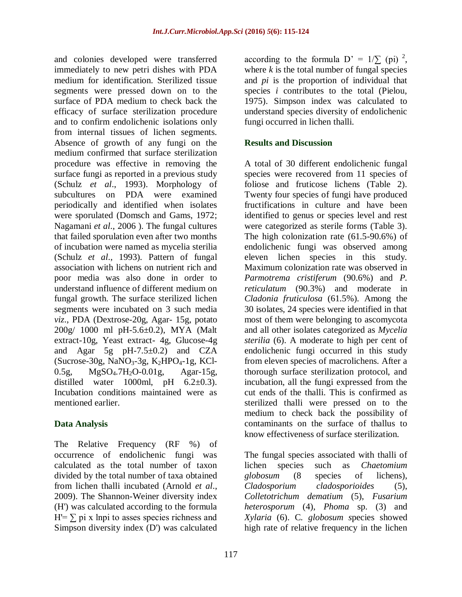and colonies developed were transferred immediately to new petri dishes with PDA medium for identification. Sterilized tissue segments were pressed down on to the surface of PDA medium to check back the efficacy of surface sterilization procedure and to confirm endolichenic isolations only from internal tissues of lichen segments. Absence of growth of any fungi on the medium confirmed that surface sterilization procedure was effective in removing the surface fungi as reported in a previous study (Schulz *et al*., 1993). Morphology of subcultures on PDA were examined periodically and identified when isolates were sporulated (Domsch and Gams, 1972; Nagamani *et al*., 2006 ). The fungal cultures that failed sporulation even after two months of incubation were named as mycelia sterilia (Schulz *et al*., 1993). Pattern of fungal association with lichens on nutrient rich and poor media was also done in order to understand influence of different medium on fungal growth. The surface sterilized lichen segments were incubated on 3 such media *viz*., PDA (Dextrose-20g, Agar- 15g, potato 200g/ 1000 ml pH-5.6±0.2), MYA (Malt extract-10g, Yeast extract- 4g, Glucose-4g and Agar 5g pH-7.5±0.2) and CZA  $(Sucrose-30g, NaNO<sub>3</sub>-3g, K<sub>2</sub>HPO<sub>4</sub>-1g, KCl-$ 0.5g, MgSO4.7H2O-0.01g, Agar-15g, distilled water 1000ml, pH  $6.2\pm0.3$ ). Incubation conditions maintained were as mentioned earlier.

## **Data Analysis**

The Relative Frequency (RF %) of occurrence of endolichenic fungi was calculated as the total number of taxon divided by the total number of taxa obtained from lichen thalli incubated (Arnold *et al*., 2009). The Shannon-Weiner diversity index (H') was calculated according to the formula  $H = \sum$  pi x lnpi to asses species richness and Simpson diversity index (D') was calculated

according to the formula  $D' = 1/\sum (pi)^2$ , where  $k$  is the total number of fungal species and *pi* is the proportion of individual that species *i* contributes to the total (Pielou, 1975). Simpson index was calculated to understand species diversity of endolichenic fungi occurred in lichen thalli.

#### **Results and Discussion**

A total of 30 different endolichenic fungal species were recovered from 11 species of foliose and fruticose lichens (Table 2). Twenty four species of fungi have produced fructifications in culture and have been identified to genus or species level and rest were categorized as sterile forms (Table 3). The high colonization rate (61.5-90.6%) of endolichenic fungi was observed among eleven lichen species in this study. Maximum colonization rate was observed in *Parmotrema cristiferum* (90.6%) and *P. reticulatum* (90.3%) and moderate in *Cladonia fruticulosa* (61.5%). Among the 30 isolates, 24 species were identified in that most of them were belonging to ascomycota and all other isolates categorized as *Mycelia sterilia* (6). A moderate to high per cent of endolichenic fungi occurred in this study from eleven species of macrolichens. After a thorough surface sterilization protocol, and incubation, all the fungi expressed from the cut ends of the thalli. This is confirmed as sterilized thalli were pressed on to the medium to check back the possibility of contaminants on the surface of thallus to know effectiveness of surface sterilization.

The fungal species associated with thalli of lichen species such as *Chaetomium globosum* (8 species of lichens), *Cladosporium cladosporioides* (5), *Colletotrichum dematium* (5), *Fusarium heterosporum* (4), *Phoma* sp. (3) and *Xylaria* (6). C*. globosum s*pecies showed high rate of relative frequency in the lichen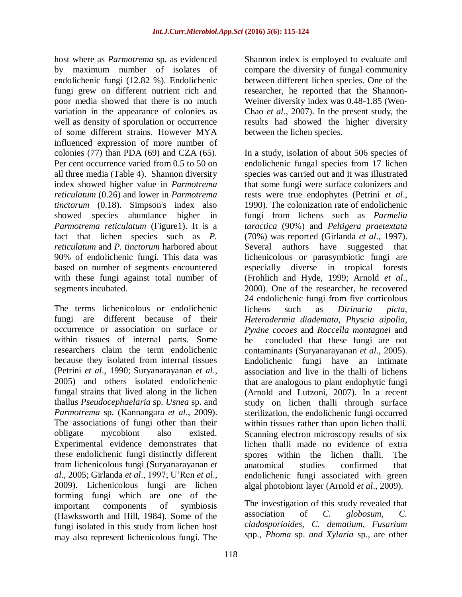host where as *Parmotrema* sp. as evidenced by maximum number of isolates of endolichenic fungi (12.82 %). Endolichenic fungi grew on different nutrient rich and poor media showed that there is no much variation in the appearance of colonies as well as density of sporulation or occurrence of some different strains. However MYA influenced expression of more number of colonies (77) than PDA (69) and CZA (65). Per cent occurrence varied from 0.5 to 50 on all three media (Table 4). Shannon diversity index showed higher value in *Parmotrema reticulatum* (0.26) and lower in *Parmotrema tinctorum* (0.18). Simpson's index also showed species abundance higher in *Parmotrema reticulatum* (Figure1). It is a fact that lichen species such as *P. reticulatum* and *P. tinctorum* harbored about 90% of endolichenic fungi. This data was based on number of segments encountered with these fungi against total number of segments incubated.

The terms lichenicolous or endolichenic fungi are different because of their occurrence or association on surface or within tissues of internal parts. Some researchers claim the term endolichenic because they isolated from internal tissues (Petrini *et al*., 1990; Suryanarayanan *et al*., 2005) and others isolated endolichenic fungal strains that lived along in the lichen thallus *Pseudocephaelaria* sp. *Usnea* sp. and *Parmotrema* sp. (Kannangara *et al*., 2009). The associations of fungi other than their obligate mycobiont also existed. Experimental evidence demonstrates that these endolichenic fungi distinctly different from lichenicolous fungi (Suryanarayanan *et al*., 2005; Girlanda *et al*., 1997; U'Ren *et al*., 2009). Lichenicolous fungi are lichen forming fungi which are one of the important components of symbiosis (Hawksworth and Hill, 1984). Some of the fungi isolated in this study from lichen host may also represent lichenicolous fungi. The

researcher, he reported that the Shannon-Weiner diversity index was 0.48-1.85 (Wen-Chao *et al*., 2007). In the present study, the results had showed the higher diversity between the lichen species. In a study, isolation of about 506 species of endolichenic fungal species from 17 lichen

Shannon index is employed to evaluate and compare the diversity of fungal community between different lichen species. One of the

species was carried out and it was illustrated that some fungi were surface colonizers and rests were true endophytes (Petrini *et al*., 1990). The colonization rate of endolichenic fungi from lichens such as *Parmelia taractica* (90%) and *Peltigera praetextata* (70%) was reported (Girlanda *et al*., 1997). Several authors have suggested that lichenicolous or parasymbiotic fungi are especially diverse in tropical forests (Frohlich and Hyde, 1999; Arnold *et al*., 2000). One of the researcher, he recovered 24 endolichenic fungi from five corticolous lichens such as *Dirinaria picta, Heterodermia diademata, Physcia aipolia, Pyxine cocoes* and *Roccella montagnei* and he concluded that these fungi are not contaminants (Suryanarayanan *et al*., 2005). Endolichenic fungi have an intimate association and live in the thalli of lichens that are analogous to plant endophytic fungi (Arnold and Lutzoni, 2007). In a recent study on lichen thalli through surface sterilization, the endolichenic fungi occurred within tissues rather than upon lichen thalli. Scanning electron microscopy results of six lichen thalli made no evidence of extra spores within the lichen thalli. The anatomical studies confirmed that endolichenic fungi associated with green algal photobiont layer (Arnold *et al*., 2009).

The investigation of this study revealed that association of *C. globosum, C. cladosporioides, C. dematium, Fusarium*  spp.*, Phoma* sp. *and Xylaria* sp., are other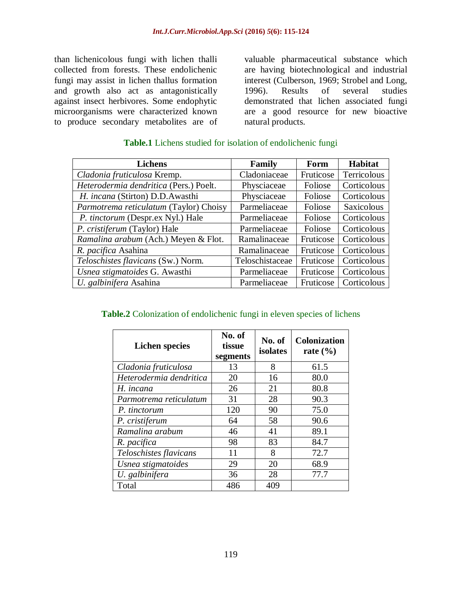than lichenicolous fungi with lichen thalli collected from forests. These endolichenic fungi may assist in lichen thallus formation and growth also act as antagonistically against insect herbivores. Some endophytic microorganisms were characterized known to produce secondary metabolites are of

valuable pharmaceutical substance which are having biotechnological and industrial interest (Culberson, 1969; Strobel and Long, 1996). Results of several studies demonstrated that lichen associated fungi are a good resource for new bioactive natural products.

| <b>Lichens</b>                         | Family          | Form      | <b>Habitat</b>    |  |
|----------------------------------------|-----------------|-----------|-------------------|--|
| Cladonia fruticulosa Kremp.            | Cladoniaceae    | Fruticose | Terricolous       |  |
| Heterodermia dendritica (Pers.) Poelt. | Physciaceae     | Foliose   | Corticolous       |  |
| H. incana (Stirton) D.D.Awasthi        | Physciaceae     | Foliose   | Corticolous       |  |
| Parmotrema reticulatum (Taylor) Choisy | Parmeliaceae    | Foliose   | <b>Saxicolous</b> |  |
| P. tinctorum (Despr.ex Nyl.) Hale      | Parmeliaceae    | Foliose   | Corticolous       |  |
| P. cristiferum (Taylor) Hale           | Parmeliaceae    | Foliose   | Corticolous       |  |
| Ramalina arabum (Ach.) Meyen & Flot.   | Ramalinaceae    | Fruticose | Corticolous       |  |
| R. pacifica Asahina                    | Ramalinaceae    | Fruticose | Corticolous       |  |
| Teloschistes flavicans (Sw.) Norm.     | Teloschistaceae | Fruticose | Corticolous       |  |
| Usnea stigmatoides G. Awasthi          | Parmeliaceae    | Fruticose | Corticolous       |  |
| U. galbinifera Asahina                 | Parmeliaceae    | Fruticose | Corticolous       |  |

#### **Table.1** Lichens studied for isolation of endolichenic fungi

#### **Table.2** Colonization of endolichenic fungi in eleven species of lichens

| <b>Lichen species</b>   | No. of<br>tissue<br>segments | No. of<br>isolates | <b>Colonization</b><br>rate $(\% )$ |
|-------------------------|------------------------------|--------------------|-------------------------------------|
| Cladonia fruticulosa    | 13                           | 8                  | 61.5                                |
| Heterodermia dendritica | 20                           | 16                 | 80.0                                |
| H. incana               | 26                           | 21                 | 80.8                                |
| Parmotrema reticulatum  | 31                           | 28                 | 90.3                                |
| P. tinctorum            | 120                          | 90                 | 75.0                                |
| P. cristiferum          | 64                           | 58                 | 90.6                                |
| Ramalina arabum         | 46                           | 41                 | 89.1                                |
| R. pacifica             | 98                           | 83                 | 84.7                                |
| Teloschistes flavicans  | 11                           | 8                  | 72.7                                |
| Usnea stigmatoides      | 29                           | 20                 | 68.9                                |
| U. galbinifera          | 36                           | 28                 | 77.7                                |
| Total                   | 486                          | 409                |                                     |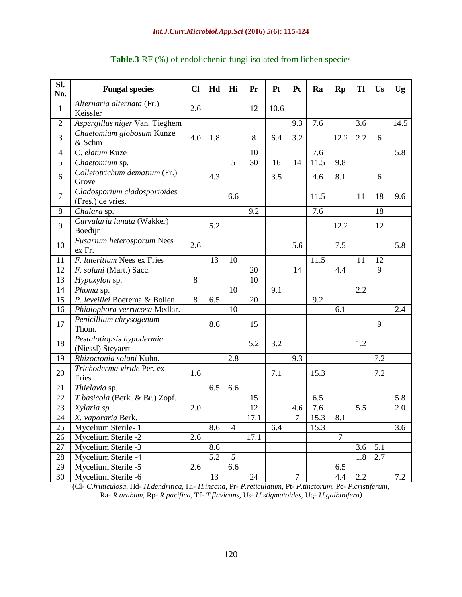#### *Int.J.Curr.Microbiol.App.Sci* **(2016)** *5***(6): 115-124**

| Sl.<br>No.     | <b>Fungal species</b>                             | $CI$ | Hd  | Hi             | Pr   | Pt   | Pc             | Ra   | <b>Rp</b>      | <b>Tf</b> | Us  | Ug   |
|----------------|---------------------------------------------------|------|-----|----------------|------|------|----------------|------|----------------|-----------|-----|------|
| $\mathbf{1}$   | Alternaria alternata (Fr.)<br>Keissler            | 2.6  |     |                | 12   | 10.6 |                |      |                |           |     |      |
| $\overline{2}$ | Aspergillus niger Van. Tieghem                    |      |     |                |      |      | 9.3            | 7.6  |                | 3.6       |     | 14.5 |
| 3              | Chaetomium globosum Kunze<br>& Schm               | 4.0  | 1.8 |                | 8    | 6.4  | 3.2            |      | 12.2           | 2.2       | 6   |      |
| $\overline{4}$ | C. elatum Kuze                                    |      |     |                | 10   |      |                | 7.6  |                |           |     | 5.8  |
| $\overline{5}$ | Chaetomium sp.                                    |      |     | $\overline{5}$ | 30   | 16   | 14             | 11.5 | 9.8            |           |     |      |
| 6              | Colletotrichum dematium (Fr.)<br>Grove            |      | 4.3 |                |      | 3.5  |                | 4.6  | 8.1            |           | 6   |      |
| $\overline{7}$ | Cladosporium cladosporioides<br>(Fres.) de vries. |      |     | 6.6            |      |      |                | 11.5 |                | 11        | 18  | 9.6  |
| 8              | Chalara sp.                                       |      |     |                | 9.2  |      |                | 7.6  |                |           | 18  |      |
| 9              | Curvularia lunata (Wakker)<br>Boedijn             |      | 5.2 |                |      |      |                |      | 12.2           |           | 12  |      |
| 10             | Fusarium heterosporum Nees<br>ex Fr.              | 2.6  |     |                |      |      | 5.6            |      | 7.5            |           |     | 5.8  |
| 11             | F. lateritium Nees ex Fries                       |      | 13  | 10             |      |      |                | 11.5 |                | 11        | 12  |      |
| 12             | F. solani (Mart.) Sacc.                           |      |     |                | 20   |      | 14             |      | 4.4            |           | 9   |      |
| 13             | Hypoxylon sp.                                     | 8    |     |                | 10   |      |                |      |                |           |     |      |
| 14             | Phoma sp.                                         |      |     | 10             |      | 9.1  |                |      |                | 2.2       |     |      |
| 15             | P. leveillei Boerema & Bollen                     | 8    | 6.5 |                | 20   |      |                | 9.2  |                |           |     |      |
| 16             | Phialophora verrucosa Medlar.                     |      |     | 10             |      |      |                |      | 6.1            |           |     | 2.4  |
| 17             | Penicillium chrysogenum<br>Thom.                  |      | 8.6 |                | 15   |      |                |      |                |           | 9   |      |
| 18             | Pestalotiopsis hypodermia<br>(Niessl) Steyaert    |      |     |                | 5.2  | 3.2  |                |      |                | 1.2       |     |      |
| 19             | Rhizoctonia solani Kuhn.                          |      |     | 2.8            |      |      | 9.3            |      |                |           | 7.2 |      |
| 20             | Trichoderma viride Per. ex<br>Fries               | 1.6  |     |                |      | 7.1  |                | 15.3 |                |           | 7.2 |      |
| 21             | Thielavia sp.                                     |      | 6.5 | 6.6            |      |      |                |      |                |           |     |      |
| 22             | T.basicola (Berk. & Br.) Zopf.                    |      |     |                | 15   |      |                | 6.5  |                |           |     | 5.8  |
| 23             | Xylaria sp.                                       | 2.0  |     |                | 12   |      | 4.6            | 7.6  |                | 5.5       |     | 2.0  |
| 24             | X. vaporaria Berk.                                |      |     |                | 17.1 |      | 7              | 15.3 | 8.1            |           |     |      |
| 25             | Mycelium Sterile-1                                |      | 8.6 | $\overline{4}$ |      | 6.4  |                | 15.3 |                |           |     | 3.6  |
| 26             | Mycelium Sterile -2                               | 2.6  |     |                | 17.1 |      |                |      | $\overline{7}$ |           |     |      |
| 27             | Mycelium Sterile -3                               |      | 8.6 |                |      |      |                |      |                | 3.6       | 5.1 |      |
| 28             | Mycelium Sterile -4                               |      | 5.2 | 5              |      |      |                |      |                | 1.8       | 2.7 |      |
| 29             | Mycelium Sterile -5                               | 2.6  |     | 6.6            |      |      |                |      | 6.5            |           |     |      |
| 30             | Mycelium Sterile -6                               |      | 13  |                | 24   |      | $\overline{7}$ |      | 4.4            | 2.2       |     | 7.2  |

# **Table.3** RF (%) of endolichenic fungi isolated from lichen species

(Cl- *C.fruticulosa*, Hd- *H.dendritica*, Hi- *H.incana*, Pr*- P.reticulatum*, Pt- *P.tinctorum,* Pc*- P.cristiferum,*  Ra*- R.arabum,* Rp*- R.pacifica,* Tf*- T.flavicans,* Us*- U.stigmatoides,* Ug- *U.galbinifera)*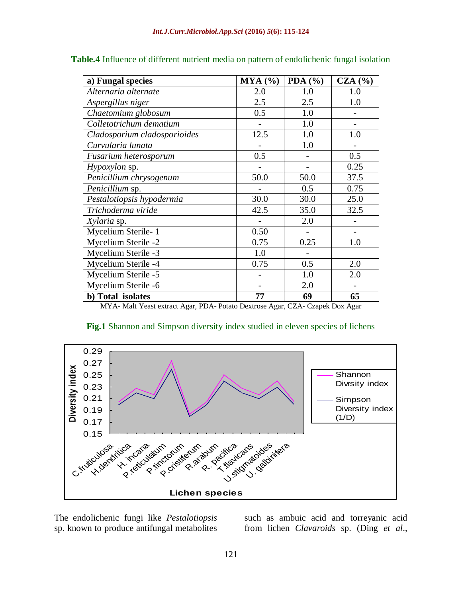| a) Fungal species            | MYA (%) | PDA $(\% )$ | CZA(%)                   |
|------------------------------|---------|-------------|--------------------------|
| Alternaria alternate         | 2.0     | 1.0         | 1.0                      |
| Aspergillus niger            | 2.5     | 2.5         | 1.0                      |
| Chaetomium globosum          | 0.5     | 1.0         | $\overline{\phantom{0}}$ |
| Colletotrichum dematium      |         | 1.0         |                          |
| Cladosporium cladosporioides | 12.5    | 1.0         | 1.0                      |
| Curvularia lunata            |         | 1.0         |                          |
| Fusarium heterosporum        | 0.5     |             | 0.5                      |
| Hypoxylon sp.                |         |             | 0.25                     |
| Penicillium chrysogenum      | 50.0    | 50.0        | 37.5                     |
| Penicillium sp.              |         | 0.5         | 0.75                     |
| Pestalotiopsis hypodermia    | 30.0    | 30.0        | 25.0                     |
| Trichoderma viride           | 42.5    | 35.0        | 32.5                     |
| Xylaria sp.                  |         | 2.0         |                          |
| Mycelium Sterile-1           | 0.50    |             |                          |
| Mycelium Sterile -2          | 0.75    | 0.25        | 1.0                      |
| Mycelium Sterile -3          | 1.0     |             |                          |
| Mycelium Sterile -4          | 0.75    | 0.5         | 2.0                      |
| Mycelium Sterile -5          |         | 1.0         | 2.0                      |
| Mycelium Sterile -6          |         | 2.0         |                          |
| b) Total isolates            | 77      | 69          | 65                       |

**Table.4** Influence of different nutrient media on pattern of endolichenic fungal isolation

MYA- Malt Yeast extract Agar, PDA- Potato Dextrose Agar, CZA- Czapek Dox Agar



## Fig.1 Shannon and Simpson diversity index studied in eleven species of lichens

The endolichenic fungi like *Pestalotiopsis* sp. known to produce antifungal metabolites such as ambuic acid and torreyanic acid from lichen *Clavaroids* sp. (Ding *et al*.,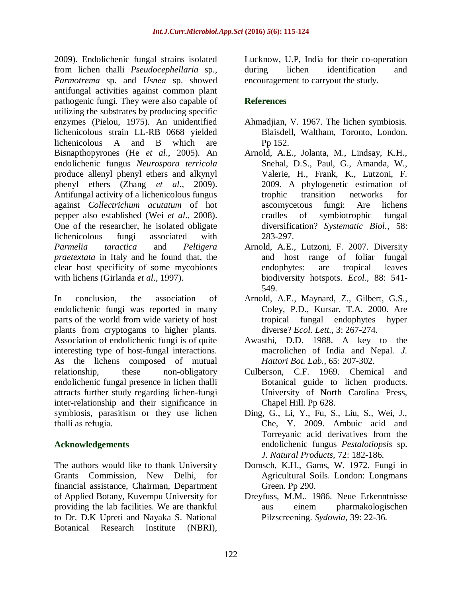2009). Endolichenic fungal strains isolated from lichen thalli *Pseudocephellaria* sp., *Parmotrema* sp. and *Usnea* sp. showed antifungal activities against common plant pathogenic fungi. They were also capable of utilizing the substrates by producing specific enzymes (Pielou, 1975). An unidentified lichenicolous strain LL-RB 0668 yielded lichenicolous A and B which are Bisnapthopyrones (He *et al*., 2005). An endolichenic fungus *Neurospora terricola* produce allenyl phenyl ethers and alkynyl phenyl ethers (Zhang *et al*., 2009). Antifungal activity of a lichenicolous fungus against *Collectrichum acutatum* of hot pepper also established (Wei *et al*., 2008). One of the researcher, he isolated obligate lichenicolous fungi associated with *Parmelia taractica* and *Peltigera praetextata* in Italy and he found that, the clear host specificity of some mycobionts with lichens (Girlanda *et al*., 1997).

In conclusion, the association of endolichenic fungi was reported in many parts of the world from wide variety of host plants from cryptogams to higher plants. Association of endolichenic fungi is of quite interesting type of host-fungal interactions. As the lichens composed of mutual relationship, these non-obligatory endolichenic fungal presence in lichen thalli attracts further study regarding lichen-fungi inter-relationship and their significance in symbiosis, parasitism or they use lichen thalli as refugia.

# **Acknowledgements**

The authors would like to thank University Grants Commission, New Delhi, for financial assistance, Chairman, Department of Applied Botany, Kuvempu University for providing the lab facilities. We are thankful to Dr. D.K Upreti and Nayaka S. National Botanical Research Institute (NBRI),

Lucknow, U.P, India for their co-operation during lichen identification and encouragement to carryout the study.

# **References**

- Ahmadjian, V. 1967. The lichen symbiosis. Blaisdell, Waltham, Toronto, London. Pp 152.
- Arnold, A.E., Jolanta, M., Lindsay, K.H., Snehal, D.S., Paul, G., Amanda, W., Valerie, H., Frank, K., Lutzoni, F. 2009. A phylogenetic estimation of trophic transition networks for ascomycetous fungi: Are lichens cradles of symbiotrophic fungal diversification? *Systematic Biol.,* 58: 283-297.
- Arnold, A.E., Lutzoni, F. 2007. Diversity and host range of foliar fungal endophytes: are tropical leaves biodiversity hotspots. *Ecol.,* 88: 541- 549.
- Arnold, A.E., Maynard, Z., Gilbert, G.S., Coley, P.D., Kursar, T.A. 2000. Are tropical fungal endophytes hyper diverse? *Ecol. Lett.,* 3: 267-274.
- Awasthi, D.D. 1988. A key to the macrolichen of India and Nepal. *J. Hattori Bot. Lab.,* 65: 207-302.
- Culberson, C.F. 1969. Chemical and Botanical guide to lichen products. University of North Carolina Press, Chapel Hill. Pp 628.
- Ding, G., Li, Y., Fu, S., Liu, S., Wei, J., Che, Y. 2009. Ambuic acid and Torreyanic acid derivatives from the endolichenic fungus *Pestalotiopsis* sp. *J. Natural Products,* 72: 182-186.
- Domsch, K.H., Gams, W. 1972. Fungi in Agricultural Soils. London: Longmans Green. Pp 290.
- Dreyfuss, M.M.. 1986. Neue Erkenntnisse aus einem pharmakologischen Pilzscreening. *Sydowia,* 39: 22-36.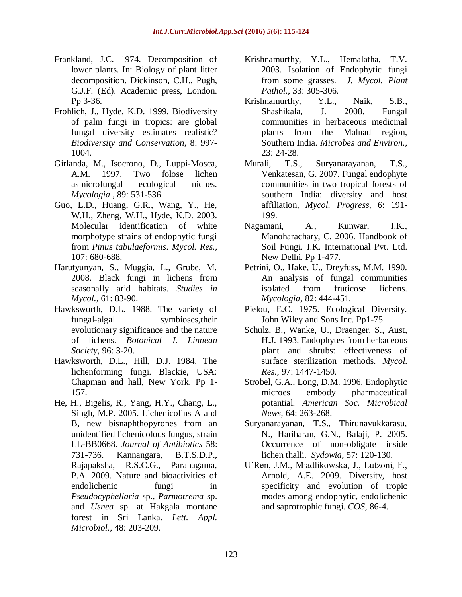- Frankland, J.C. 1974. Decomposition of lower plants. In: Biology of plant litter decomposition. Dickinson, C.H., Pugh, G.J.F. (Ed). Academic press, London. Pp 3-36.
- Frohlich, J., Hyde, K.D. 1999. Biodiversity of palm fungi in tropics: are global fungal diversity estimates realistic? *Biodiversity and Conservation,* 8: 997- 1004.
- Girlanda, M., Isocrono, D., Luppi-Mosca, A.M. 1997. Two folose lichen asmicrofungal ecological niches. *Mycologia ,* 89: 531-536.
- Guo, L.D., Huang, G.R., Wang, Y., He, W.H., Zheng, W.H., Hyde, K.D. 2003. Molecular identification of white morphotype strains of endophytic fungi from *Pinus tabulaeformis*. *Mycol. Res.,* 107: 680-688.
- Harutyunyan, S., Muggia, L., Grube, M. 2008. Black fungi in lichens from seasonally arid habitats. *Studies in Mycol.,* 61: 83-90.
- Hawksworth, D.L. 1988. The variety of fungal-algal symbioses,their evolutionary significance and the nature of lichens. *Botonical J. Linnean Society,* 96: 3-20.
- Hawksworth, D.L., Hill, D.J. 1984. The lichenforming fungi. Blackie, USA: Chapman and hall, New York. Pp 1- 157.
- He, H., Bigelis, R., Yang, H.Y., Chang, L., Singh, M.P. 2005. Lichenicolins A and B, new bisnaphthopyrones from an unidentified lichenicolous fungus, strain LL-BB0668. *Journal of Antibiotics* 58: 731-736. Kannangara, B.T.S.D.P., Rajapaksha, R.S.C.G., Paranagama, P.A. 2009. Nature and bioactivities of endolichenic fungi in *Pseudocyphellaria* sp., *Parmotrema* sp. and *Usnea* sp. at Hakgala montane forest in Sri Lanka. *Lett. Appl. Microbiol.,* 48: 203-209.
- Krishnamurthy, Y.L., Hemalatha, T.V. 2003. Isolation of Endophytic fungi from some grasses. *J. Mycol. Plant Pathol.,* 33: 305-306.
- Krishnamurthy, Y.L., Naik, S.B., Shashikala, J. 2008. Fungal communities in herbaceous medicinal plants from the Malnad region, Southern India. *Microbes and Environ.,* 23: 24-28.
- Murali, T.S., Suryanarayanan, T.S., Venkatesan, G. 2007. Fungal endophyte communities in two tropical forests of southern India: diversity and host affiliation, *Mycol. Progress,* 6: 191- 199.
- Nagamani, A., Kunwar, I.K., Manoharachary, C. 2006. Handbook of Soil Fungi*.* I.K. International Pvt. Ltd. New Delhi. Pp 1-477.
- Petrini, O., Hake, U., Dreyfuss, M.M. 1990. An analysis of fungal communities isolated from fruticose lichens. *Mycologia,* 82: 444-451.
- Pielou, E.C. 1975. Ecological Diversity. John Wiley and Sons Inc. Pp1-75.
- Schulz, B., Wanke, U., Draenger, S., Aust, H.J. 1993. Endophytes from herbaceous plant and shrubs: effectiveness of surface sterilization methods. *Mycol. Res.,* 97: 1447-1450.
- Strobel, G.A., Long, D.M. 1996. Endophytic microes embody pharmaceutical potantial. *American Soc. Microbical News,* 64: 263-268.
- Suryanarayanan, T.S., Thirunavukkarasu, N., Hariharan, G.N., Balaji, P. 2005. Occurrence of non-obligate inside lichen thalli. *Sydowia,* 57: 120-130.
- U'Ren, J.M., Miadlikowska, J., Lutzoni, F., Arnold, A.E. 2009. Diversity, host specificity and evolution of tropic modes among endophytic, endolichenic and saprotrophic fungi. *COS*, 86-4.